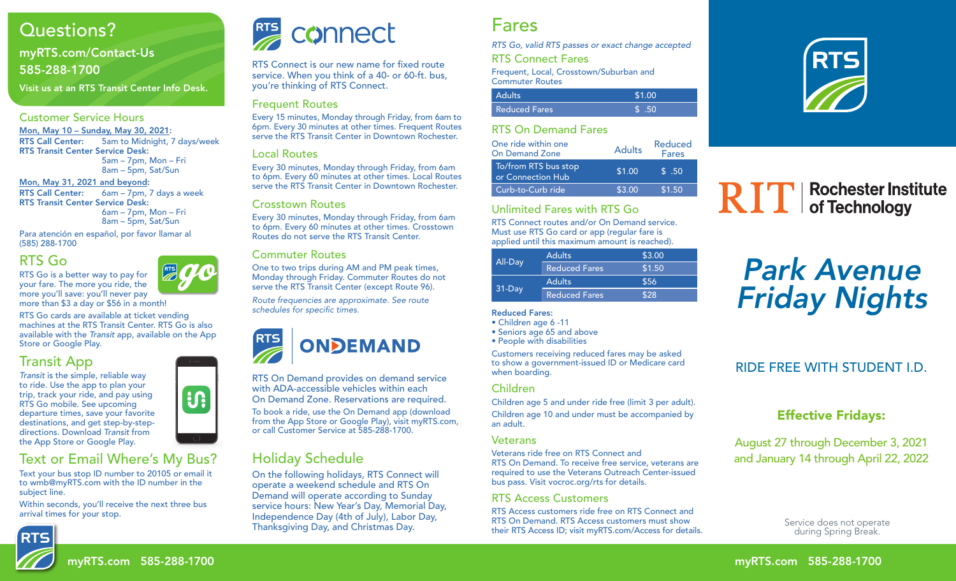# Questions?

### myRTS.com/Contact-Us 585-288-1700

Visit us at an RTS Transit Center Info Desk.

#### Customer Service Hours

Mon, May 10 – Sunday, May 30, 2021: RTS Call Center: 5am to Midnight, 7 days/week RTS Transit Center Service Desk: 5am – 7pm, Mon – Fri

8am – 5pm, Sat/Sun Mon, May 31, 2021 and beyond: RTS Call Center: 6am – 7pm, 7 days a week RTS Transit Center Service Desk: 6am – 7pm, Mon – Fri 8am – 5pm, Sat/Sun

Para atención en español, por favor llamar al (585) 288-1700

## RTS Go

RTS Go is a better way to pay for your fare. The more you ride, the more you'll save: you'll never pay

**RTS** more than \$3 a day or \$56 in a month!

RTS Go cards are available at ticket vending machines at the RTS Transit Center. RTS Go is also available with the *Transit* app, available on the App Store or Google Play.

## Transit App

*Transit* is the simple, reliable way to ride. Use the app to plan your trip, track your ride, and pay using RTS Go mobile. See upcoming departure times, save your favorite destinations, and get step-by-stepdirections. Download *Transit* from the App Store or Google Play.

# Text or Email Where's My Bus?

Text your bus stop ID number to 20105 or email it to wmb@myRTS.com with the ID number in the subject line.

Within seconds, you'll receive the next three bus arrival times for your stop.







RTS Connect is our new name for fixed route service. When you think of a 40- or 60-ft. bus, you're thinking of RTS Connect.

#### Frequent Routes

Every 15 minutes, Monday through Friday, from 6am to 6pm. Every 30 minutes at other times. Frequent Routes serve the RTS Transit Center in Downtown Rochester.

#### Local Routes

Every 30 minutes, Monday through Friday, from 6am to 6pm. Every 60 minutes at other times. Local Routes serve the RTS Transit Center in Downtown Rochester.

#### Crosstown Routes

Every 30 minutes, Monday through Friday, from 6am to 6pm. Every 60 minutes at other times. Crosstown Routes do not serve the RTS Transit Center.

#### Commuter Routes

One to two trips during AM and PM peak times, Monday through Friday. Commuter Routes do not serve the RTS Transit Center (except Route 96).

*Route frequencies are approximate. See route*  schedules for specific times.



RTS On Demand provides on demand service with ADA-accessible vehicles within each On Demand Zone. Reservations are required.

To book a ride, use the On Demand app (download from the App Store or Google Play), visit myRTS.com, or call Customer Service at 585-288-1700.

## Holiday Schedule

On the following holidays, RTS Connect will operate a weekend schedule and RTS On Demand will operate according to Sunday service hours: New Year's Day, Memorial Day, Independence Day (4th of July), Labor Day, Thanksgiving Day, and Christmas Day.

# Fares

*RTS Go, valid RTS passes or exact change accepted* RTS Connect Fares

Frequent, Local, Crosstown/Suburban and Commuter Routes

| <b>Adults</b> | \$1.00 |
|---------------|--------|
| Reduced Fares | \$50   |

#### RTS On Demand Fares

| One ride within one<br><b>On Demand Zone</b> | <b>Adults</b> | Reduced<br><b>Fares</b> |  |  |
|----------------------------------------------|---------------|-------------------------|--|--|
| To/from RTS bus stop<br>or Connection Hub    | \$1.00        | $\sqrt{5}$ .50          |  |  |
| Curb-to-Curb ride                            | \$3.00        | \$1.50                  |  |  |

### Unlimited Fares with RTS Go

RTS Connect routes and/or On Demand service. Must use RTS Go card or app (regular fare is applied until this maximum amount is reached).

|          | <b>Adults</b>        | \$3.00 |  |  |
|----------|----------------------|--------|--|--|
| All-Day  | <b>Reduced Fares</b> | \$1.50 |  |  |
|          | <b>Adults</b>        | \$56   |  |  |
| $31-Dav$ | <b>Reduced Fares</b> | \$28   |  |  |

#### Reduced Fares:

- Children age 6 -11
- Seniors age 65 and above
- People with disabilities

Customers receiving reduced fares may be asked to show a government-issued ID or Medicare card when boarding.

#### Children

Children age 5 and under ride free (limit 3 per adult). Children age 10 and under must be accompanied by an adult.

#### **Veterans**

Veterans ride free on RTS Connect and RTS On Demand. To receive free service, veterans are required to use the Veterans Outreach Center-issued bus pass. Visit vocroc.org/rts for details.

#### RTS Access Customers

RTS Access customers ride free on RTS Connect and RTS On Demand. RTS Access customers must show their RTS Access ID; visit myRTS.com/Access for details.



### Hours of Service: **WEEK** - Middle  $\blacksquare$   $\blacksquare$   $\blacksquare$

### **Park Avon** Park Avenue Downtown to Highland Ave Feiorly Niol Friday Nights

# RIDE FREE WITH STUDENT I.D.

#### $SL_2$  Museum of  $SL_2$ Effective Fridays:

Monroe High School August 27 through December 3, 2021 and January 14 through April 22, 2022 Twee Corners of the Corners of the Corners of the Corners of the Corners of the Corners of the Corners of the Corners of the Corners of the Corners of the Corners of the Corners of the Corners of the Corners of the Corners

Service does not operate<br>during Spring Break. during Spring Break.